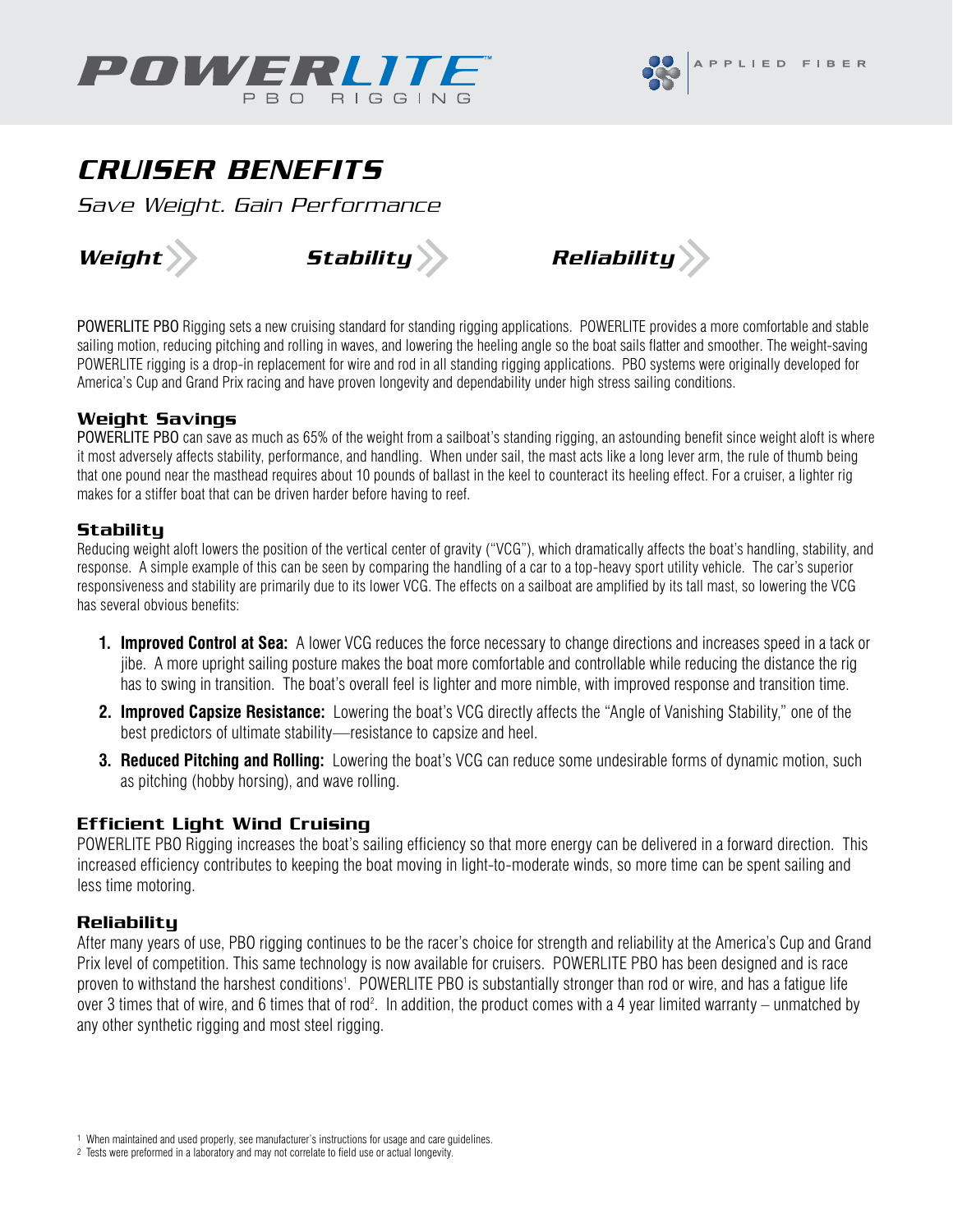



# CRUISER BENEFITS

Save Weight. Gain Performance







POWERLITE PBO Rigging sets a new cruising standard for standing rigging applications. POWERLITE provides a more comfortable and stable sailing motion, reducing pitching and rolling in waves, and lowering the heeling angle so the boat sails flatter and smoother. The weight-saving POWERLITE rigging is a drop-in replacement for wire and rod in all standing rigging applications. PBO systems were originally developed for America's Cup and Grand Prix racing and have proven longevity and dependability under high stress sailing conditions.

#### Weight Savings

POWERLITE PBO can save as much as 65% of the weight from a sailboat's standing rigging, an astounding benefit since weight aloft is where it most adversely affects stability, performance, and handling. When under sail, the mast acts like a long lever arm, the rule of thumb being that one pound near the masthead requires about 10 pounds of ballast in the keel to counteract its heeling effect. For a cruiser, a lighter rig makes for a stiffer boat that can be driven harder before having to reef.

#### **Stability**

Reducing weight aloft lowers the position of the vertical center of gravity ("VCG"), which dramatically affects the boat's handling, stability, and response. A simple example of this can be seen by comparing the handling of a car to a top-heavy sport utility vehicle. The car's superior responsiveness and stability are primarily due to its lower VCG. The effects on a sailboat are amplified by its tall mast, so lowering the VCG has several obvious benefits:

- **1. Improved Control at Sea:** A lower VCG reduces the force necessary to change directions and increases speed in a tack or jibe. A more upright sailing posture makes the boat more comfortable and controllable while reducing the distance the rig has to swing in transition. The boat's overall feel is lighter and more nimble, with improved response and transition time.
- **2. Improved Capsize Resistance:** Lowering the boat's VCG directly affects the "Angle of Vanishing Stability," one of the best predictors of ultimate stability—resistance to capsize and heel.
- **3. Reduced Pitching and Rolling:** Lowering the boat's VCG can reduce some undesirable forms of dynamic motion, such as pitching (hobby horsing), and wave rolling.

### Efficient Light Wind Cruising

POWERLITE PBO Rigging increases the boat's sailing efficiency so that more energy can be delivered in a forward direction. This increased efficiency contributes to keeping the boat moving in light-to-moderate winds, so more time can be spent sailing and less time motoring.

#### Reliability

After many years of use, PBO rigging continues to be the racer's choice for strength and reliability at the America's Cup and Grand Prix level of competition. This same technology is now available for cruisers. POWERLITE PBO has been designed and is race proven to withstand the harshest conditions<sup>1</sup>. POWERLITE PBO is substantially stronger than rod or wire, and has a fatigue life over 3 times that of wire, and 6 times that of rod<sup>2</sup>. In addition, the product comes with a 4 year limited warranty – unmatched by any other synthetic rigging and most steel rigging.

<sup>1</sup> When maintained and used properly, see manufacturer's instructions for usage and care guidelines.

<sup>2</sup> Tests were preformed in a laboratory and may not correlate to field use or actual longevity.